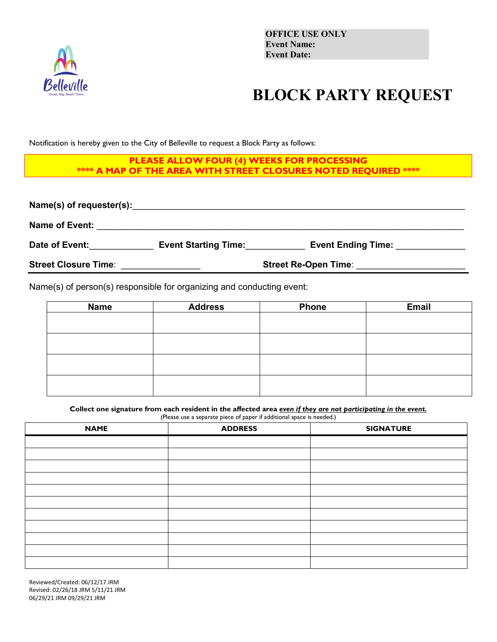

## **BLOCK PARTY REQUEST**

Notification is hereby given to the City of Belleville to request a Block Party as follows:

## **PLEASE ALLOW FOUR (4) WEEKS FOR PROCESSING \*\*\*\* A MAP OF THE AREA WITH STREET CLOSURES NOTED REQUIRED \*\*\*\***

| Name(s) of requester(s):    |                             |                           |  |  |
|-----------------------------|-----------------------------|---------------------------|--|--|
| <b>Name of Event:</b>       |                             |                           |  |  |
| Date of Event:              | <b>Event Starting Time:</b> | <b>Event Ending Time:</b> |  |  |
| <b>Street Closure Time:</b> | <b>Street Re-Open Time:</b> |                           |  |  |

Name(s) of person(s) responsible for organizing and conducting event:

| <b>Name</b> | <b>Address</b> | <b>Phone</b> | <b>Email</b> |
|-------------|----------------|--------------|--------------|
|             |                |              |              |
|             |                |              |              |
|             |                |              |              |
|             |                |              |              |
|             |                |              |              |
|             |                |              |              |
|             |                |              |              |
|             |                |              |              |

**Collect one signature from each resident in the affected area** *even if they are not participating in the event.*

(Please use a separate piece of paper if additional space is needed.)

| <b>NAME</b> | <b>ADDRESS</b> | <b>SIGNATURE</b> |
|-------------|----------------|------------------|
|             |                |                  |
|             |                |                  |
|             |                |                  |
|             |                |                  |
|             |                |                  |
|             |                |                  |
|             |                |                  |
|             |                |                  |
|             |                |                  |
|             |                |                  |
|             |                |                  |

Reviewed/Created: 06/12/17 JRM Revised: 02/26/18 JRM 5/11/21 JRM 06/29/21 JRM 09/29/21 JRM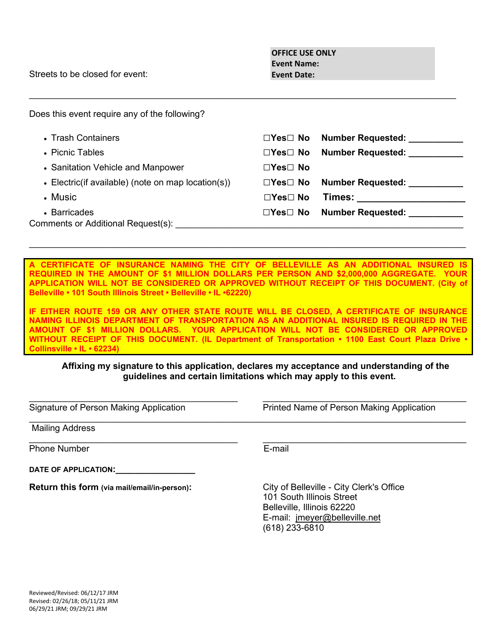Streets to be closed for event:

| Does this event require any of the following?      |                      |                          |
|----------------------------------------------------|----------------------|--------------------------|
| • Trash Containers                                 | $\Box$ Yes $\Box$ No | <b>Number Requested:</b> |
| • Picnic Tables                                    | ⊡Yes⊟ No             | <b>Number Requested:</b> |
| • Sanitation Vehicle and Manpower                  | ⊡Yes⊟ No             |                          |
| • Electric(if available) (note on map location(s)) | ⊡Yes⊟ No             | <b>Number Requested:</b> |
| • Music                                            | ⊡Yes⊟ No             | Times:                   |
| • Barricades                                       | $\Box$ Yes $\Box$ No | <b>Number Requested:</b> |
| Comments or Additional Request(s):                 |                      |                          |

 $\_$  , and the set of the set of the set of the set of the set of the set of the set of the set of the set of the set of the set of the set of the set of the set of the set of the set of the set of the set of the set of th

CERTIFICATE OF INSURANCE NAMING THE CITY OF BELLEVILLE AS AN ADDITIONAL INSURED IS **REQUIRED IN THE AMOUNT OF \$1 MILLION DOLLARS PER PERSON AND \$2,000,000 AGGREGATE. YOUR APPLICATION WILL NOT BE CONSIDERED OR APPROVED WITHOUT RECEIPT OF THIS DOCUMENT. (City of Belleville • 101 South Illinois Street • Belleville • IL •62220)**

 $\_$  , and the set of the set of the set of the set of the set of the set of the set of the set of the set of the set of the set of the set of the set of the set of the set of the set of the set of the set of the set of th

**IF EITHER ROUTE 159 OR ANY OTHER STATE ROUTE WILL BE CLOSED, A CERTIFICATE OF INSURANCE NAMING ILLINOIS DEPARTMENT OF TRANSPORTATION AS AN ADDITIONAL INSURED IS REQUIRED IN THE AMOUNT OF \$1 MILLION DOLLARS. YOUR APPLICATION WILL NOT BE CONSIDERED OR APPROVED WITHOUT RECEIPT OF THIS DOCUMENT. (IL Department of Transportation • 1100 East Court Plaza Drive • Collinsville • IL • 62234)**

## **Affixing my signature to this application, declares my acceptance and understanding of the guidelines and certain limitations which may apply to this event.**

 $\_$  , and the set of the set of the set of the set of the set of the set of the set of the set of the set of the set of the set of the set of the set of the set of the set of the set of the set of the set of the set of th

 $\_$  , and the contribution of the contribution of  $\mathcal{L}_\mathcal{A}$  , and the contribution of the contribution of  $\mathcal{L}_\mathcal{A}$ 

Signature of Person Making Application **Printed Name of Person Making Application** 

Mailing Address

 $\_$  , and the contribution of the contribution of  $\mathcal{L}_\mathcal{A}$  , and the contribution of the contribution of  $\mathcal{L}_\mathcal{A}$ Phone Number **E-mail** 

| DATE OF APPLICATION: |  |  |  |  |
|----------------------|--|--|--|--|
|                      |  |  |  |  |
|                      |  |  |  |  |

**Return this form (via mail/email/in-person):** City of Belleville - City Clerk's Office

101 South Illinois Street Belleville, Illinois 62220 E-mail: jmeyer@belleville.net (618) 233-6810